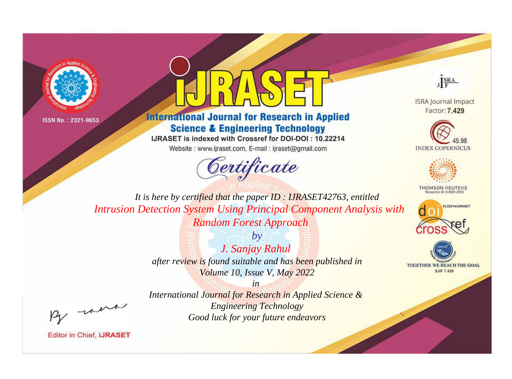



**International Journal for Research in Applied Science & Engineering Technology** 

IJRASET is indexed with Crossref for DOI-DOI: 10.22214

Website: www.ijraset.com, E-mail: ijraset@gmail.com





**ISRA Journal Impact** Factor: 7.429





**THOMSON REUTERS** 



TOGETHER WE REACH THE GOAL **SJIF 7.429** 

*It is here by certified that the paper ID : IJRASET42763, entitled Intrusion Detection System Using Principal Component Analysis with Random Forest Approach*

> *by J. Sanjay Rahul after review is found suitable and has been published in Volume 10, Issue V, May 2022*

> > *in*

, un

*International Journal for Research in Applied Science & Engineering Technology Good luck for your future endeavors*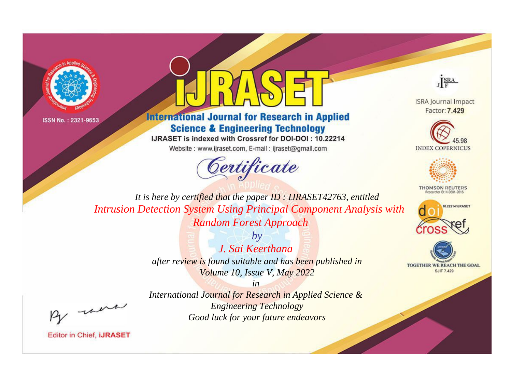



**International Journal for Research in Applied Science & Engineering Technology** 

IJRASET is indexed with Crossref for DOI-DOI: 10.22214

Website: www.ijraset.com, E-mail: ijraset@gmail.com





**ISRA Journal Impact** Factor: 7.429





**THOMSON REUTERS** 



TOGETHER WE REACH THE GOAL **SJIF 7.429** 

*It is here by certified that the paper ID : IJRASET42763, entitled Intrusion Detection System Using Principal Component Analysis with Random Forest Approach*

> *by J. Sai Keerthana after review is found suitable and has been published in Volume 10, Issue V, May 2022*

, un

*International Journal for Research in Applied Science & Engineering Technology Good luck for your future endeavors*

*in*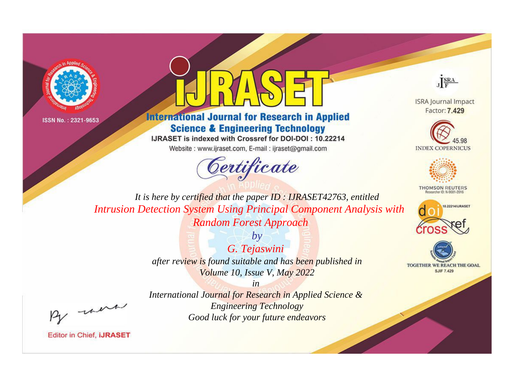



**International Journal for Research in Applied Science & Engineering Technology** 

IJRASET is indexed with Crossref for DOI-DOI: 10.22214

Website: www.ijraset.com, E-mail: ijraset@gmail.com





**ISRA Journal Impact** Factor: 7.429





**THOMSON REUTERS** 



TOGETHER WE REACH THE GOAL **SJIF 7.429** 

*It is here by certified that the paper ID : IJRASET42763, entitled Intrusion Detection System Using Principal Component Analysis with Random Forest Approach*

> *by G. Tejaswini after review is found suitable and has been published in Volume 10, Issue V, May 2022*

, un

*International Journal for Research in Applied Science & Engineering Technology Good luck for your future endeavors*

*in*